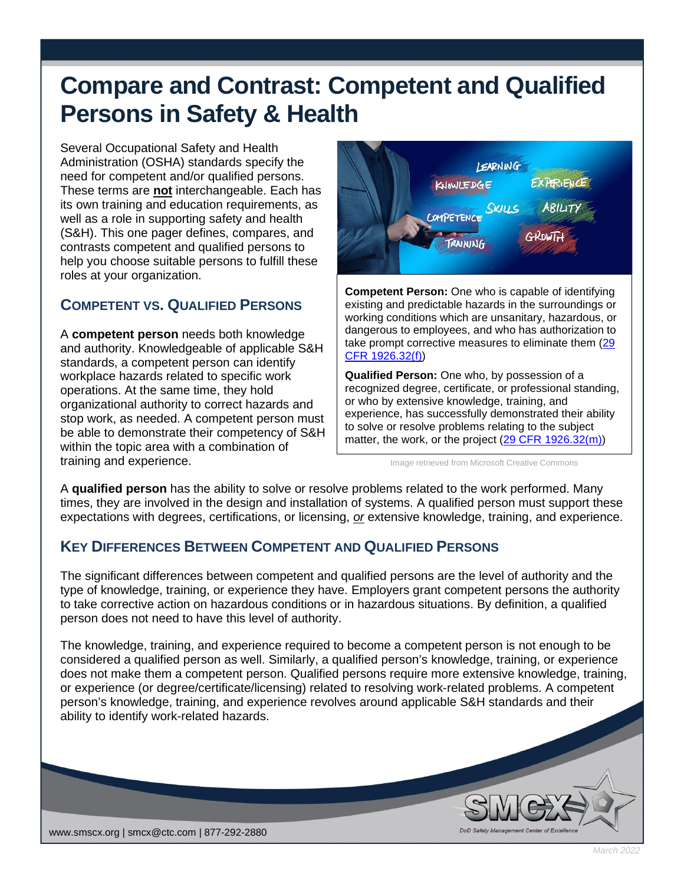# **Compare and Contrast: Competent and Qualified Persons in Safety & Health**

Several Occupational Safety and Health Administration (OSHA) standards specify the need for competent and/or qualified persons. These terms are **not** interchangeable. Each has its own training and education requirements, as well as a role in supporting safety and health (S&H). This one pager defines, compares, and contrasts competent and qualified persons to help you choose suitable persons to fulfill these roles at your organization.

## **COMPETENT VS. QUALIFIED PERSONS**

A **competent person** needs both knowledge and authority. Knowledgeable of applicable S&H standards, a competent person can identify workplace hazards related to specific work operations. At the same time, they hold organizational authority to correct hazards and stop work, as needed. A competent person must be able to demonstrate their competency of S&H within the topic area with a combination of training and experience.



**Competent Person:** One who is capable of identifying existing and predictable hazards in the surroundings or working conditions which are unsanitary, hazardous, or dangerous to employees, and who has authorization to take prompt corrective measures to eliminate them [\(29](https://www.osha.gov/laws-regs/regulations/standardnumber/1926/1926.32)  [CFR 1926.32\(f\)\)](https://www.osha.gov/laws-regs/regulations/standardnumber/1926/1926.32)

**Qualified Person:** One who, by possession of a recognized degree, certificate, or professional standing, or who by extensive knowledge, training, and experience, has successfully demonstrated their ability to solve or resolve problems relating to the subject matter, the work, or the project [\(29 CFR 1926.32\(m\)\)](https://www.osha.gov/laws-regs/regulations/standardnumber/1926/1926.32)

Image retrieved from Microsoft Creative Commons

A **qualified person** has the ability to solve or resolve problems related to the work performed. Many times, they are involved in the design and installation of systems. A qualified person must support these expectations with degrees, certifications, or licensing, *or* extensive knowledge, training, and experience.

### **KEY DIFFERENCES BETWEEN COMPETENT AND QUALIFIED PERSONS**

The significant differences between competent and qualified persons are the level of authority and the type of knowledge, training, or experience they have. Employers grant competent persons the authority to take corrective action on hazardous conditions or in hazardous situations. By definition, a qualified person does not need to have this level of authority.

The knowledge, training, and experience required to become a competent person is not enough to be considered a qualified person as well. Similarly, a qualified person's knowledge, training, or experience does not make them a competent person. Qualified persons require more extensive knowledge, training, or experience (or degree/certificate/licensing) related to resolving work-related problems. A competent person's knowledge, training, and experience revolves around applicable S&H standards and their ability to identify work-related hazards.



*March 2022*